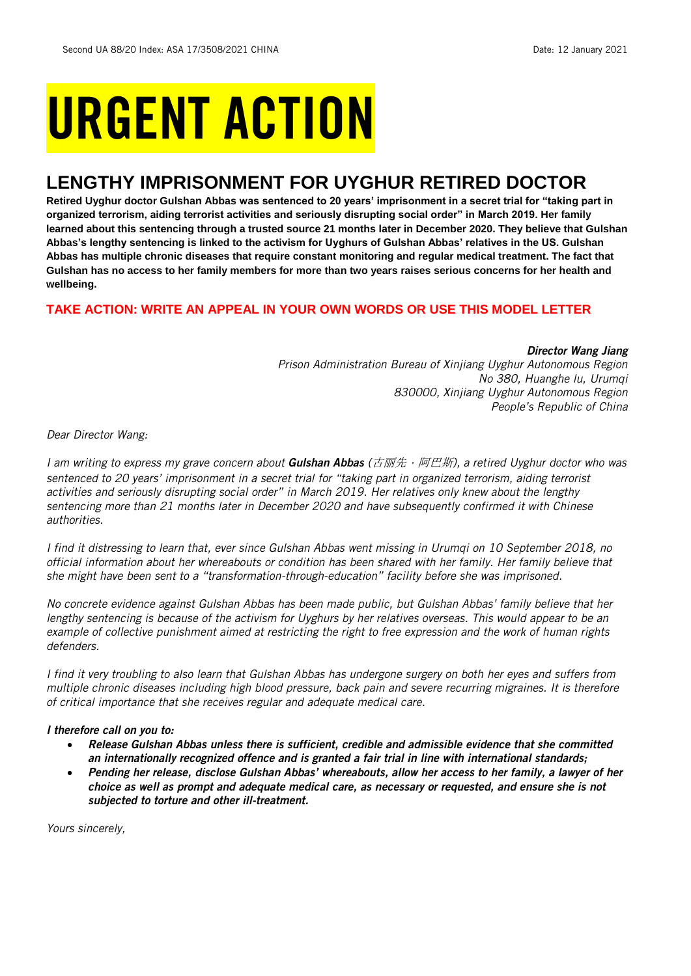# URGENT ACTION

## **LENGTHY IMPRISONMENT FOR UYGHUR RETIRED DOCTOR**

**Retired Uyghur doctor Gulshan Abbas was sentenced to 20 years' imprisonment in a secret trial for "taking part in organized terrorism, aiding terrorist activities and seriously disrupting social order" in March 2019. Her family learned about this sentencing through a trusted source 21 months later in December 2020. They believe that Gulshan Abbas's lengthy sentencing is linked to the activism for Uyghurs of Gulshan Abbas' relatives in the US. Gulshan Abbas has multiple chronic diseases that require constant monitoring and regular medical treatment. The fact that Gulshan has no access to her family members for more than two years raises serious concerns for her health and wellbeing.**

#### **TAKE ACTION: WRITE AN APPEAL IN YOUR OWN WORDS OR USE THIS MODEL LETTER**

*Director Wang Jiang Prison Administration Bureau of Xinjiang Uyghur Autonomous Region No 380, Huanghe lu, Urumqi 830000, Xinjiang Uyghur Autonomous Region People's Republic of China*

*Dear Director Wang:*

I am writing to express my grave concern about **Gulshan Abbas** (古丽先·阿巴斯), a retired Uyghur doctor who was *sentenced to 20 years' imprisonment in a secret trial for "taking part in organized terrorism, aiding terrorist activities and seriously disrupting social order" in March 2019. Her relatives only knew about the lengthy sentencing more than 21 months later in December 2020 and have subsequently confirmed it with Chinese authorities.*

*I find it distressing to learn that, ever since Gulshan Abbas went missing in Urumqi on 10 September 2018, no official information about her whereabouts or condition has been shared with her family. Her family believe that she might have been sent to a "transformation-through-education" facility before she was imprisoned.*

*No concrete evidence against Gulshan Abbas has been made public, but Gulshan Abbas' family believe that her lengthy sentencing is because of the activism for Uyghurs by her relatives overseas. This would appear to be an example of collective punishment aimed at restricting the right to free expression and the work of human rights defenders.*

*I find it very troubling to also learn that Gulshan Abbas has undergone surgery on both her eyes and suffers from multiple chronic diseases including high blood pressure, back pain and severe recurring migraines. It is therefore of critical importance that she receives regular and adequate medical care.*

#### *I therefore call on you to:*

- *Release Gulshan Abbas unless there is sufficient, credible and admissible evidence that she committed an internationally recognized offence and is granted a fair trial in line with international standards;*
- *Pending her release, disclose Gulshan Abbas' whereabouts, allow her access to her family, a lawyer of her choice as well as prompt and adequate medical care, as necessary or requested, and ensure she is not subjected to torture and other ill-treatment.*

*Yours sincerely,*